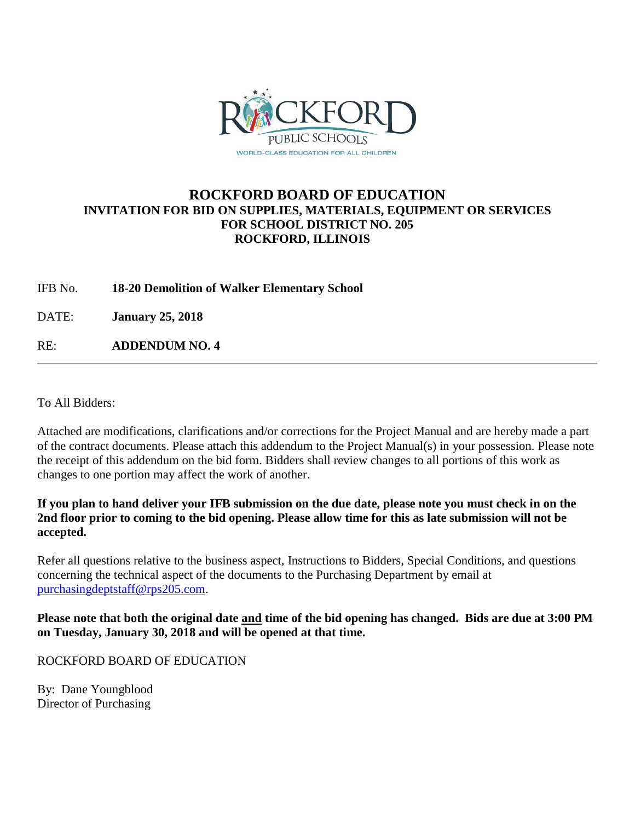

## **ROCKFORD BOARD OF EDUCATION INVITATION FOR BID ON SUPPLIES, MATERIALS, EQUIPMENT OR SERVICES FOR SCHOOL DISTRICT NO. 205 ROCKFORD, ILLINOIS**

IFB No. **18-20 Demolition of Walker Elementary School**

DATE: **January 25, 2018**

RE: **ADDENDUM NO. 4**

To All Bidders:

Attached are modifications, clarifications and/or corrections for the Project Manual and are hereby made a part of the contract documents. Please attach this addendum to the Project Manual(s) in your possession. Please note the receipt of this addendum on the bid form. Bidders shall review changes to all portions of this work as changes to one portion may affect the work of another.

**If you plan to hand deliver your IFB submission on the due date, please note you must check in on the 2nd floor prior to coming to the bid opening. Please allow time for this as late submission will not be accepted.**

Refer all questions relative to the business aspect, Instructions to Bidders, Special Conditions, and questions concerning the technical aspect of the documents to the Purchasing Department by email at [purchasingdeptstaff@rps205.com.](mailto:purchasingdeptstaff@rps205.com)

**Please note that both the original date and time of the bid opening has changed. Bids are due at 3:00 PM on Tuesday, January 30, 2018 and will be opened at that time.**

ROCKFORD BOARD OF EDUCATION

By: Dane Youngblood Director of Purchasing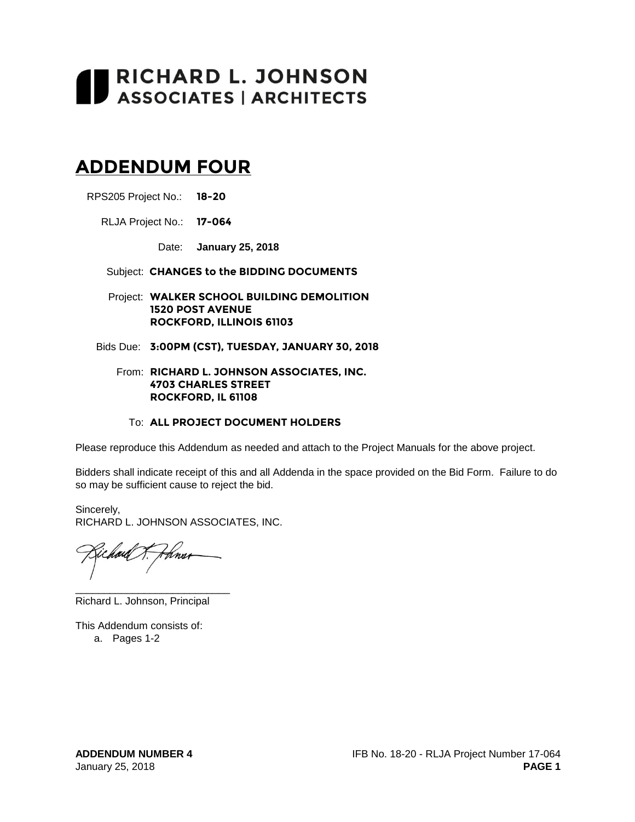# RICHARD L. JOHNSON<br>ASSOCIATES | ARCHITECTS

# **ADDENDUM FOUR**

RPS205 Project No.: **18-20**

RLJA Project No.: **17-064**

Date: **January 25, 2018**

Subject: **CHANGES to the BIDDING DOCUMENTS**

Project: **WALKER SCHOOL BUILDING DEMOLITION 1520 POST AVENUE ROCKFORD, ILLINOIS 61103**

Bids Due: **3:00PM (CST), TUESDAY, JANUARY 30, 2018**

#### From: **RICHARD L. JOHNSON ASSOCIATES, INC. 4703 CHARLES STREET ROCKFORD, IL 61108**

#### To: **ALL PROJECT DOCUMENT HOLDERS**

Please reproduce this Addendum as needed and attach to the Project Manuals for the above project.

Bidders shall indicate receipt of this and all Addenda in the space provided on the Bid Form. Failure to do so may be sufficient cause to reject the bid.

Sincerely, RICHARD L. JOHNSON ASSOCIATES, INC.

tína

\_\_\_\_\_\_\_\_\_\_\_\_\_\_\_\_\_\_\_\_\_\_\_\_\_\_\_

Richard L. Johnson, Principal

This Addendum consists of:

a. Pages 1-2